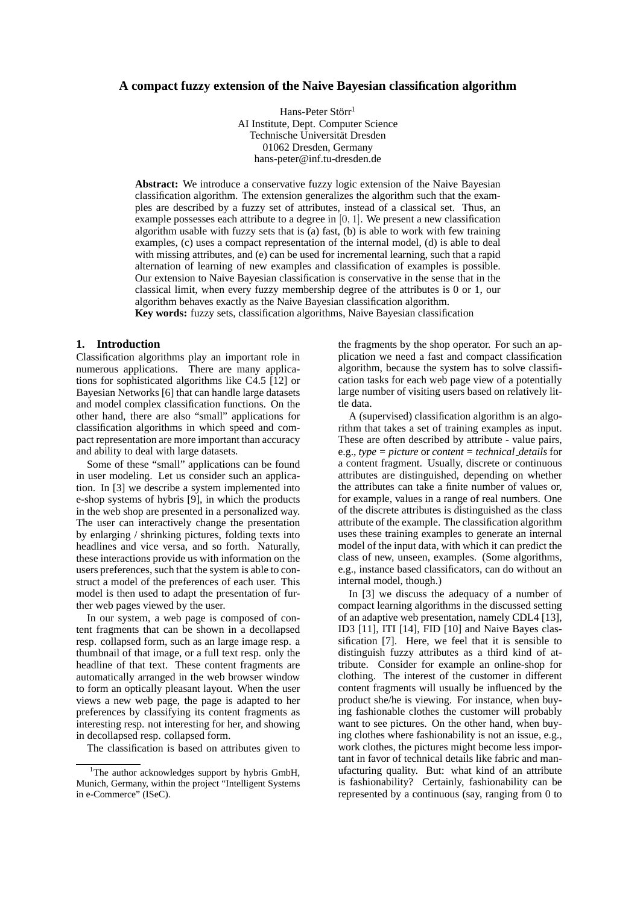# **A compact fuzzy extension of the Naive Bayesian classification algorithm**

Hans-Peter Störr<sup>1</sup> AI Institute, Dept. Computer Science Technische Universität Dresden 01062 Dresden, Germany hans-peter@inf.tu-dresden.de

**Abstract:** We introduce a conservative fuzzy logic extension of the Naive Bayesian classification algorithm. The extension generalizes the algorithm such that the examples are described by a fuzzy set of attributes, instead of a classical set. Thus, an example possesses each attribute to a degree in  $[0, 1]$ . We present a new classification algorithm usable with fuzzy sets that is (a) fast, (b) is able to work with few training examples, (c) uses a compact representation of the internal model, (d) is able to deal with missing attributes, and (e) can be used for incremental learning, such that a rapid alternation of learning of new examples and classification of examples is possible. Our extension to Naive Bayesian classification is conservative in the sense that in the classical limit, when every fuzzy membership degree of the attributes is 0 or 1, our algorithm behaves exactly as the Naive Bayesian classification algorithm. **Key words:** fuzzy sets, classification algorithms, Naive Bayesian classification

# **1. Introduction**

Classification algorithms play an important role in numerous applications. There are many applications for sophisticated algorithms like C4.5 [12] or Bayesian Networks [6] that can handle large datasets and model complex classification functions. On the other hand, there are also "small" applications for classification algorithms in which speed and compact representation are more important than accuracy and ability to deal with large datasets.

Some of these "small" applications can be found in user modeling. Let us consider such an application. In [3] we describe a system implemented into e-shop systems of hybris [9], in which the products in the web shop are presented in a personalized way. The user can interactively change the presentation by enlarging / shrinking pictures, folding texts into headlines and vice versa, and so forth. Naturally, these interactions provide us with information on the users preferences, such that the system is able to construct a model of the preferences of each user. This model is then used to adapt the presentation of further web pages viewed by the user.

In our system, a web page is composed of content fragments that can be shown in a decollapsed resp. collapsed form, such as an large image resp. a thumbnail of that image, or a full text resp. only the headline of that text. These content fragments are automatically arranged in the web browser window to form an optically pleasant layout. When the user views a new web page, the page is adapted to her preferences by classifying its content fragments as interesting resp. not interesting for her, and showing in decollapsed resp. collapsed form.

The classification is based on attributes given to

the fragments by the shop operator. For such an application we need a fast and compact classification algorithm, because the system has to solve classification tasks for each web page view of a potentially large number of visiting users based on relatively little data.

A (supervised) classification algorithm is an algorithm that takes a set of training examples as input. These are often described by attribute - value pairs, e.g., *type = picture* or *content = technical details* for a content fragment. Usually, discrete or continuous attributes are distinguished, depending on whether the attributes can take a finite number of values or, for example, values in a range of real numbers. One of the discrete attributes is distinguished as the class attribute of the example. The classification algorithm uses these training examples to generate an internal model of the input data, with which it can predict the class of new, unseen, examples. (Some algorithms, e.g., instance based classificators, can do without an internal model, though.)

In [3] we discuss the adequacy of a number of compact learning algorithms in the discussed setting of an adaptive web presentation, namely CDL4 [13], ID3 [11], ITI [14], FID [10] and Naive Bayes classification [7]. Here, we feel that it is sensible to distinguish fuzzy attributes as a third kind of attribute. Consider for example an online-shop for clothing. The interest of the customer in different content fragments will usually be influenced by the product she/he is viewing. For instance, when buying fashionable clothes the customer will probably want to see pictures. On the other hand, when buying clothes where fashionability is not an issue, e.g., work clothes, the pictures might become less important in favor of technical details like fabric and manufacturing quality. But: what kind of an attribute is fashionability? Certainly, fashionability can be represented by a continuous (say, ranging from 0 to

<sup>&</sup>lt;sup>1</sup>The author acknowledges support by hybris GmbH, Munich, Germany, within the project "Intelligent Systems in e-Commerce" (ISeC).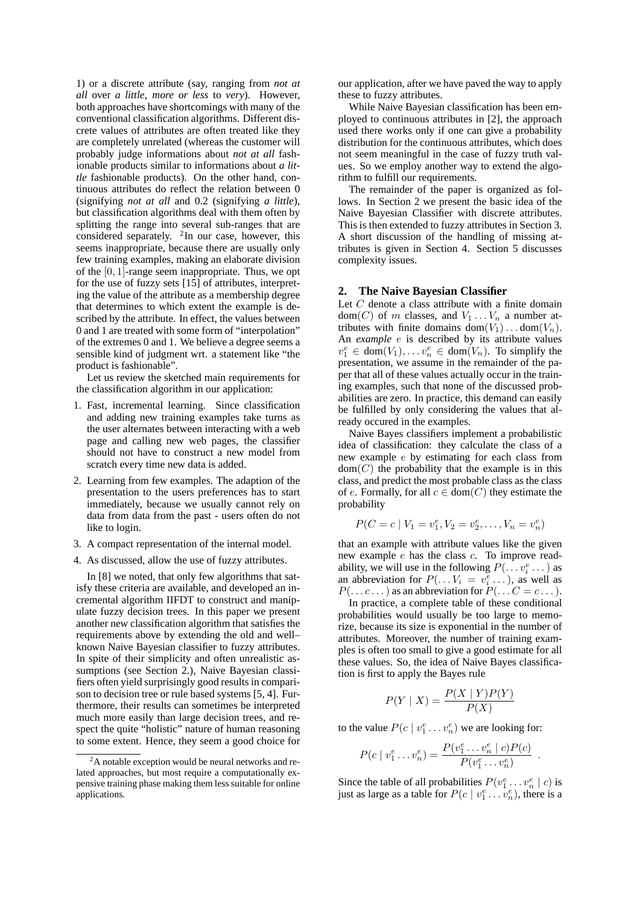1) or a discrete attribute (say, ranging from *not at all* over *a little*, *more or less* to *very*). However, both approaches have shortcomings with many of the conventional classification algorithms. Different discrete values of attributes are often treated like they are completely unrelated (whereas the customer will probably judge informations about *not at all* fashionable products similar to informations about *a little* fashionable products). On the other hand, continuous attributes do reflect the relation between 0 (signifying *not at all* and 0.2 (signifying *a little*), but classification algorithms deal with them often by splitting the range into several sub-ranges that are considered separately.  $2$ In our case, however, this seems inappropriate, because there are usually only few training examples, making an elaborate division of the [0, 1]-range seem inappropriate. Thus, we opt for the use of fuzzy sets [15] of attributes, interpreting the value of the attribute as a membership degree that determines to which extent the example is described by the attribute. In effect, the values between 0 and 1 are treated with some form of "interpolation" of the extremes 0 and 1. We believe a degree seems a sensible kind of judgment wrt. a statement like "the product is fashionable".

Let us review the sketched main requirements for the classification algorithm in our application:

- 1. Fast, incremental learning. Since classification and adding new training examples take turns as the user alternates between interacting with a web page and calling new web pages, the classifier should not have to construct a new model from scratch every time new data is added.
- 2. Learning from few examples. The adaption of the presentation to the users preferences has to start immediately, because we usually cannot rely on data from data from the past - users often do not like to login.
- 3. A compact representation of the internal model.
- 4. As discussed, allow the use of fuzzy attributes.

In [8] we noted, that only few algorithms that satisfy these criteria are available, and developed an incremental algorithm IIFDT to construct and manipulate fuzzy decision trees. In this paper we present another new classification algorithm that satisfies the requirements above by extending the old and well– known Naive Bayesian classifier to fuzzy attributes. In spite of their simplicity and often unrealistic assumptions (see Section 2.), Naive Bayesian classifiers often yield surprisingly good results in comparison to decision tree or rule based systems [5, 4]. Furthermore, their results can sometimes be interpreted much more easily than large decision trees, and respect the quite "holistic" nature of human reasoning to some extent. Hence, they seem a good choice for our application, after we have paved the way to apply these to fuzzy attributes.

While Naive Bayesian classification has been employed to continuous attributes in [2], the approach used there works only if one can give a probability distribution for the continuous attributes, which does not seem meaningful in the case of fuzzy truth values. So we employ another way to extend the algorithm to fulfill our requirements.

The remainder of the paper is organized as follows. In Section 2 we present the basic idea of the Naive Bayesian Classifier with discrete attributes. This is then extended to fuzzy attributes in Section 3. A short discussion of the handling of missing attributes is given in Section 4. Section 5 discusses complexity issues.

# **2. The Naive Bayesian Classifier**

Let C denote a class attribute with a finite domain  $dom(C)$  of m classes, and  $V_1 \ldots V_n$  a number attributes with finite domains  $dom(V_1) \dots dom(V_n)$ . An *example* e is described by its attribute values  $v_1^e \in \text{dom}(V_1), \ldots v_n^e \in \text{dom}(V_n)$ . To simplify the presentation, we assume in the remainder of the paper that all of these values actually occur in the training examples, such that none of the discussed probabilities are zero. In practice, this demand can easily be fulfilled by only considering the values that already occured in the examples.

Naive Bayes classifiers implement a probabilistic idea of classification: they calculate the class of a new example e by estimating for each class from  $dom(C)$  the probability that the example is in this class, and predict the most probable class as the class of e. Formally, for all  $c \in \text{dom}(C)$  they estimate the probability

$$
P(C = c | V_1 = v_1^e, V_2 = v_2^e, \dots, V_n = v_n^e)
$$

that an example with attribute values like the given new example e has the class c. To improve readability, we will use in the following  $P(\ldots v_i^e \ldots)$  as an abbreviation for  $P(\ldots V_i = v_i^e \ldots)$ , as well as  $P(\ldots c \ldots)$  as an abbreviation for  $P(\ldots C = c \ldots)$ .

In practice, a complete table of these conditional probabilities would usually be too large to memorize, because its size is exponential in the number of attributes. Moreover, the number of training examples is often too small to give a good estimate for all these values. So, the idea of Naive Bayes classification is first to apply the Bayes rule

$$
P(Y \mid X) = \frac{P(X \mid Y)P(Y)}{P(X)}
$$

to the value  $P(c | v_1^e \dots v_n^e)$  we are looking for:

$$
P(c \mid v_1^e \dots v_n^e) = \frac{P(v_1^e \dots v_n^e \mid c)P(c)}{P(v_1^e \dots v_n^e)}
$$

.

Since the table of all probabilities  $P(v_1^e \dots v_n^e | c)$  is just as large as a table for  $P(c | v_1^e \dots v_n^e)$ , there is a

 $^{2}$ A notable exception would be neural networks and related approaches, but most require a computationally expensive training phase making them less suitable for online applications.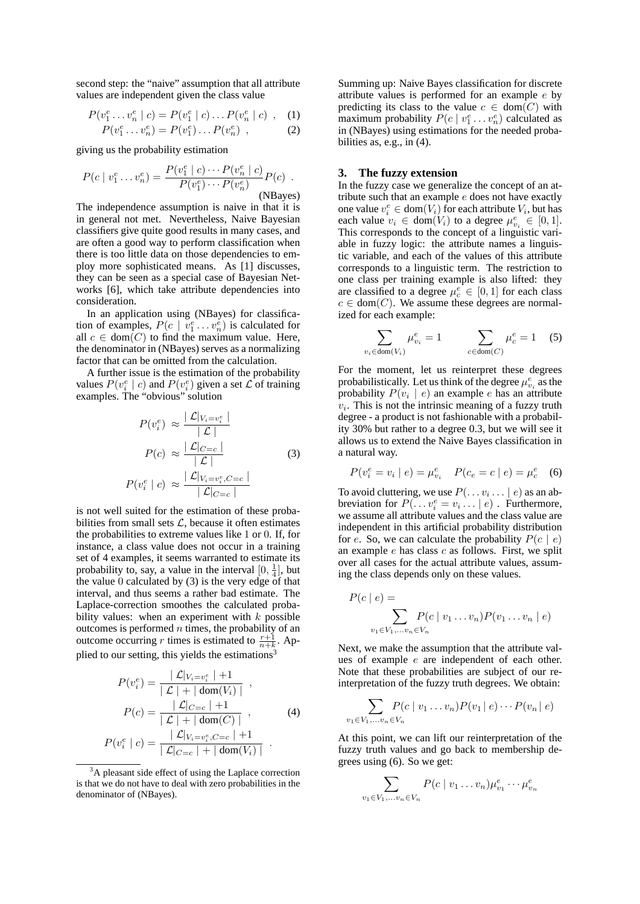second step: the "naive" assumption that all attribute values are independent given the class value

$$
P(v_1^e \dots v_n^e \mid c) = P(v_1^e \mid c) \dots P(v_n^e \mid c) \quad , \quad (1)
$$

$$
P(v_1^e \dots v_n^e) = P(v_1^e) \dots P(v_n^e) \quad , \tag{2}
$$

giving us the probability estimation

 $\mathbf{v}$ 

$$
P(c \mid v_1^e \dots v_n^e) = \frac{P(v_1^e \mid c) \cdots P(v_n^e \mid c)}{P(v_1^e) \cdots P(v_n^e)} P(c) .
$$
  
(NBayes)

The independence assumption is naive in that it is in general not met. Nevertheless, Naive Bayesian classifiers give quite good results in many cases, and are often a good way to perform classification when there is too little data on those dependencies to employ more sophisticated means. As [1] discusses, they can be seen as a special case of Bayesian Networks [6], which take attribute dependencies into consideration.

In an application using (NBayes) for classification of examples,  $P(c \mid v_1^e \dots v_n^e)$  is calculated for all  $c \in \text{dom}(C)$  to find the maximum value. Here, the denominator in (NBayes) serves as a normalizing factor that can be omitted from the calculation.

A further issue is the estimation of the probability values  $P(v_i^e \mid c)$  and  $P(v_i^e)$  given a set  $\mathcal L$  of training examples. The "obvious" solution

$$
P(v_i^e) \approx \frac{|\mathcal{L}|_{V_i = v_i^e}|}{|\mathcal{L}|}
$$

$$
P(c) \approx \frac{|\mathcal{L}|_{C=c}|}{|\mathcal{L}|}
$$
(3)
$$
P(v_i^e | c) \approx \frac{|\mathcal{L}|_{V_i = v_i^e, C=c}|}{|\mathcal{L}|_{C=c}|}
$$

is not well suited for the estimation of these probabilities from small sets  $\mathcal{L}$ , because it often estimates the probabilities to extreme values like 1 or 0. If, for instance, a class value does not occur in a training set of 4 examples, it seems warranted to estimate its probability to, say, a value in the interval  $[0, \frac{1}{4}]$ , but the value  $0$  calculated by  $(3)$  is the very edge of that interval, and thus seems a rather bad estimate. The Laplace-correction smoothes the calculated probability values: when an experiment with  $k$  possible outcomes is performed  $n$  times, the probability of an outcome occurring r times is estimated to  $\frac{r+1}{n+k}$ . Applied to our setting, this yields the estimations<sup>3</sup>

$$
P(v_i^e) = \frac{|\mathcal{L}|_{V_i = v_i^e} | + 1}{|\mathcal{L}| + |\text{ dom}(V_i)|},
$$
  
\n
$$
P(c) = \frac{|\mathcal{L}|_{C=c} | + 1}{|\mathcal{L}| + |\text{ dom}(C)|},
$$
  
\n
$$
P(v_i^e | c) = \frac{|\mathcal{L}|_{V_i = v_i^e, C=c} | + 1}{|\mathcal{L}|_{C=c} | + |\text{ dom}(V_i)|}.
$$
 (4)

P(v

Summing up: Naive Bayes classification for discrete attribute values is performed for an example e by predicting its class to the value  $c \in \text{dom}(C)$  with maximum probability  $P(c | v_1^e \dots v_n^e)$  calculated as in (NBayes) using estimations for the needed probabilities as, e.g., in (4).

#### **3. The fuzzy extension**

In the fuzzy case we generalize the concept of an attribute such that an example  $e$  does not have exactly one value  $v_i^e \in \text{dom}(V_i)$  for each attribute  $V_i$ , but has each value  $v_i \in \text{dom}(V_i)$  to a degree  $\mu_{v_i}^e \in [0,1]$ . This corresponds to the concept of a linguistic variable in fuzzy logic: the attribute names a linguistic variable, and each of the values of this attribute corresponds to a linguistic term. The restriction to one class per training example is also lifted: they are classified to a degree  $\mu_c^e \in [0, 1]$  for each class  $c \in \text{dom}(C)$ . We assume these degrees are normalized for each example:

$$
\sum_{v_i \in \text{dom}(V_i)} \mu_{v_i}^e = 1 \qquad \sum_{c \in \text{dom}(C)} \mu_c^e = 1 \quad (5)
$$

For the moment, let us reinterpret these degrees probabilistically. Let us think of the degree  $\mu_{v_i}^e$  as the probability  $P(v_i | e)$  an example e has an attribute  $v_i$ . This is not the intrinsic meaning of a fuzzy truth degree - a product is not fashionable with a probability 30% but rather to a degree 0.3, but we will see it allows us to extend the Naive Bayes classification in a natural way.

$$
P(v_i^e = v_i \mid e) = \mu_{v_i}^e \quad P(c_e = c \mid e) = \mu_c^e \quad (6)
$$

To avoid cluttering, we use  $P(\ldots v_i \ldots | e)$  as an abbreviation for  $P(\ldots v_i^e = v_i \ldots | e)$ . Furthermore, we assume all attribute values and the class value are independent in this artificial probability distribution for e. So, we can calculate the probability  $P(c \mid e)$ an example  $e$  has class  $c$  as follows. First, we split over all cases for the actual attribute values, assuming the class depends only on these values.

$$
P(c | e) = \sum_{v_1 \in V_1, \dots v_n \in V_n} P(c | v_1 \dots v_n) P(v_1 \dots v_n | e)
$$

Next, we make the assumption that the attribute values of example e are independent of each other. Note that these probabilities are subject of our reinterpretation of the fuzzy truth degrees. We obtain:

$$
\sum_{v \in V_1, \ldots, v_n \in V_n} P(c \mid v_1 \ldots v_n) P(v_1 \mid e) \cdots P(v_n \mid e)
$$

At this point, we can lift our reinterpretation of the fuzzy truth values and go back to membership degrees using (6). So we get:

 $v_1$ 

$$
\sum_{v_1 \in V_1, \dots v_n \in V_n} P(c \mid v_1 \dots v_n) \mu_{v_1}^e \cdots \mu_{v_n}^e
$$

<sup>&</sup>lt;sup>3</sup>A pleasant side effect of using the Laplace correction is that we do not have to deal with zero probabilities in the denominator of (NBayes).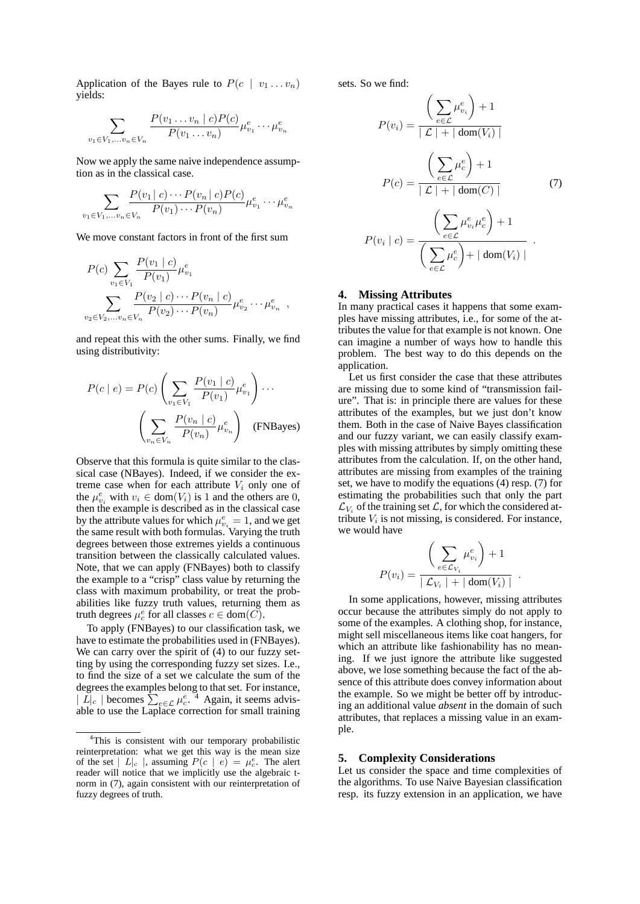Application of the Bayes rule to  $P(c \mid v_1 \dots v_n)$ yields:

$$
\sum_{v_1 \in V_1, \dots v_n \in V_n} \frac{P(v_1 \dots v_n \mid c) P(c)}{P(v_1 \dots v_n)} \mu_{v_1}^e \dots \mu_{v_n}^e
$$

Now we apply the same naive independence assumption as in the classical case.

$$
\sum_{v_1 \in V_1, \dots v_n \in V_n} \frac{P(v_1 \mid c) \cdots P(v_n \mid c) P(c)}{P(v_1) \cdots P(v_n)} \mu_{v_1}^e \cdots \mu_{v_n}^e
$$

We move constant factors in front of the first sum

$$
P(c) \sum_{v_1 \in V_1} \frac{P(v_1 \mid c)}{P(v_1)} \mu_{v_1}^e
$$
  

$$
\sum_{v_2 \in V_2, \dots v_n \in V_n} \frac{P(v_2 \mid c) \cdots P(v_n \mid c)}{P(v_2) \cdots P(v_n)} \mu_{v_2}^e \cdots \mu_{v_n}^e
$$

,

and repeat this with the other sums. Finally, we find using distributivity:

$$
P(c \mid e) = P(c) \left( \sum_{v_1 \in V_1} \frac{P(v_1 \mid c)}{P(v_1)} \mu_{v_1}^e \right) \cdots
$$

$$
\left( \sum_{v_n \in V_n} \frac{P(v_n \mid c)}{P(v_n)} \mu_{v_n}^e \right) \quad \text{(FNBayes)}
$$

Observe that this formula is quite similar to the classical case (NBayes). Indeed, if we consider the extreme case when for each attribute  $V_i$  only one of the  $\mu_{v_i}^e$  with  $v_i \in \text{dom}(V_i)$  is 1 and the others are 0, then the example is described as in the classical case by the attribute values for which  $\mu_{v_i}^e = 1$ , and we get the same result with both formulas. Varying the truth degrees between those extremes yields a continuous transition between the classically calculated values. Note, that we can apply (FNBayes) both to classify the example to a "crisp" class value by returning the class with maximum probability, or treat the probabilities like fuzzy truth values, returning them as truth degrees  $\mu_c^e$  for all classes  $c \in \text{dom}(\overline{C})$ .

To apply (FNBayes) to our classification task, we have to estimate the probabilities used in (FNBayes). We can carry over the spirit of  $(4)$  to our fuzzy setting by using the corresponding fuzzy set sizes. I.e., to find the size of a set we calculate the sum of the degrees the examples belong to that set. For instance,  $|\tilde{L}|_c$  | becomes  $\sum_{e \in \mathcal{L}} \mu_e^{e}$ . <sup>4</sup> Again, it seems advisable to use the Laplace correction for small training

sets. So we find:

$$
P(v_i) = \frac{\left(\sum_{e \in \mathcal{L}} \mu_{v_i}^e\right) + 1}{|\mathcal{L}| + |\text{ dom}(V_i)|}
$$

$$
P(c) = \frac{\left(\sum_{e \in \mathcal{L}} \mu_c^e\right) + 1}{|\mathcal{L}| + |\text{ dom}(C)|} \qquad (7)
$$

$$
P(v_i | c) = \frac{\left(\sum_{e \in \mathcal{L}} \mu_{v_i}^e \mu_c^e\right) + 1}{\left(\sum_{e \in \mathcal{L}} \mu_c^e\right) + |\text{ dom}(V_i)|}
$$

## **4. Missing Attributes**

In many practical cases it happens that some examples have missing attributes, i.e., for some of the attributes the value for that example is not known. One can imagine a number of ways how to handle this problem. The best way to do this depends on the application.

Let us first consider the case that these attributes are missing due to some kind of "transmission failure". That is: in principle there are values for these attributes of the examples, but we just don't know them. Both in the case of Naive Bayes classification and our fuzzy variant, we can easily classify examples with missing attributes by simply omitting these attributes from the calculation. If, on the other hand, attributes are missing from examples of the training set, we have to modify the equations (4) resp. (7) for estimating the probabilities such that only the part  $\mathcal{L}_{V_i}$  of the training set  $\mathcal{L}$ , for which the considered attribute  $V_i$  is not missing, is considered. For instance, we would have

$$
P(v_i) = \frac{\left(\sum_{e \in \mathcal{L}_{V_i}} \mu_{v_i}^e\right) + 1}{\left|\mathcal{L}_{V_i}\right| + \left|\text{ dom}(V_i)\right|}.
$$

In some applications, however, missing attributes occur because the attributes simply do not apply to some of the examples. A clothing shop, for instance, might sell miscellaneous items like coat hangers, for which an attribute like fashionability has no meaning. If we just ignore the attribute like suggested above, we lose something because the fact of the absence of this attribute does convey information about the example. So we might be better off by introducing an additional value *absent* in the domain of such attributes, that replaces a missing value in an example.

#### **5. Complexity Considerations**

Let us consider the space and time complexities of the algorithms. To use Naive Bayesian classification resp. its fuzzy extension in an application, we have

<sup>4</sup>This is consistent with our temporary probabilistic reinterpretation: what we get this way is the mean size of the set  $|L|_c$ , assuming  $P(c | e) = \mu_c^e$ . The alert reader will notice that we implicitly use the algebraic tnorm in (7), again consistent with our reinterpretation of fuzzy degrees of truth.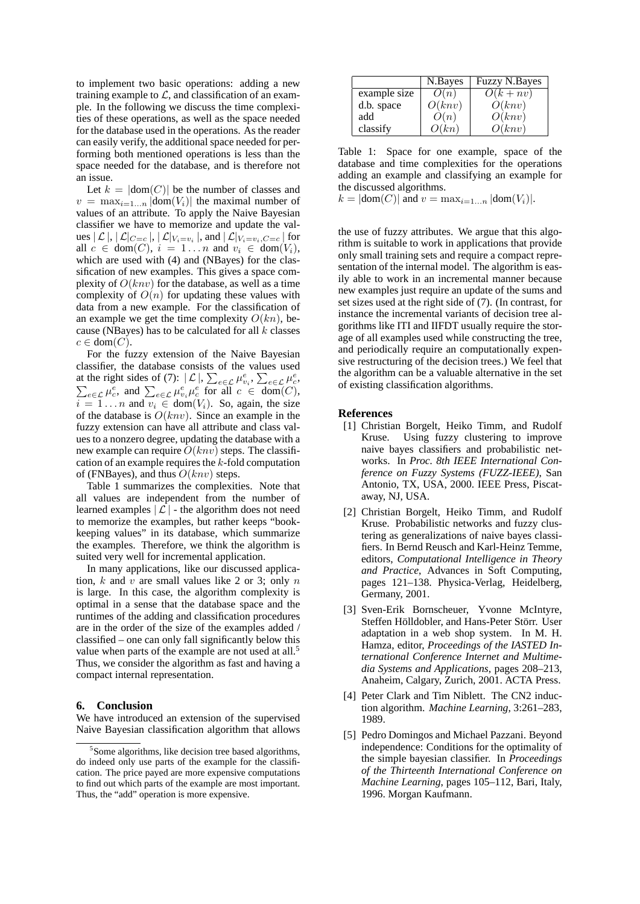to implement two basic operations: adding a new training example to  $\mathcal{L}$ , and classification of an example. In the following we discuss the time complexities of these operations, as well as the space needed for the database used in the operations. As the reader can easily verify, the additional space needed for performing both mentioned operations is less than the space needed for the database, and is therefore not an issue.

Let  $k = |dom(C)|$  be the number of classes and  $v = \max_{i=1...n} |\text{dom}(V_i)|$  the maximal number of values of an attribute. To apply the Naive Bayesian classifier we have to memorize and update the values  $|\mathcal{L}|, |\mathcal{L}|_{C=c}|, |\mathcal{L}|_{V_i=v_i}|,$  and  $|\mathcal{L}|_{V_i=v_i, C=c}|$  for all  $c \in \text{dom}(C)$ ,  $i = 1...n$  and  $v_i \in \text{dom}(V_i)$ , which are used with (4) and (NBayes) for the classification of new examples. This gives a space complexity of  $O(knv)$  for the database, as well as a time complexity of  $O(n)$  for updating these values with data from a new example. For the classification of an example we get the time complexity  $O(kn)$ , because (NBayes) has to be calculated for all  $k$  classes  $c \in \text{dom}(C)$ .

For the fuzzy extension of the Naive Bayesian classifier, the database consists of the values used at the right sides of (7):  $|\mathcal{L}|$ ,  $\sum_{e \in \mathcal{L}} \mu_{v_i}^e$ ,  $\sum_{e \in \mathcal{L}} \mu_{e}^e$ ,  $\sum_{e \in \mathcal{L}} \mu_{e}^e$ , and  $\sum_{e \in \mathcal{L}} \mu_{v_i}^e \mu_{e}^e$  for all  $c \in \text{dom}(C)$ ,  $i = 1 \dots n$  and  $v_i \in \text{dom}(V_i)$ . So, again, the size of the database is  $O(knv)$ . Since an example in the fuzzy extension can have all attribute and class values to a nonzero degree, updating the database with a new example can require  $O(knv)$  steps. The classification of an example requires the  $k$ -fold computation of (FNBayes), and thus  $O(knv)$  steps.

Table 1 summarizes the complexities. Note that all values are independent from the number of learned examples  $|\mathcal{L}|$  - the algorithm does not need to memorize the examples, but rather keeps "bookkeeping values" in its database, which summarize the examples. Therefore, we think the algorithm is suited very well for incremental application.

In many applications, like our discussed application,  $k$  and  $v$  are small values like 2 or 3; only  $n$ is large. In this case, the algorithm complexity is optimal in a sense that the database space and the runtimes of the adding and classification procedures are in the order of the size of the examples added / classified – one can only fall significantly below this value when parts of the example are not used at all.<sup>5</sup> Thus, we consider the algorithm as fast and having a compact internal representation.

## **6. Conclusion**

We have introduced an extension of the supervised Naive Bayesian classification algorithm that allows

|              | N.Bayes | <b>Fuzzy N.Bayes</b> |
|--------------|---------|----------------------|
| example size | O(n)    | $\overline{O}(k+nv)$ |
| d.b. space   | O(knv)  | $\tilde{O}(knv)$     |
| add          | O(n)    | O(knv)               |
| classify     | O(kn)   | O(knv)               |

Table 1: Space for one example, space of the database and time complexities for the operations adding an example and classifying an example for the discussed algorithms.

 $k = |dom(C)|$  and  $v = max_{i=1...n} |dom(V_i)|$ .

the use of fuzzy attributes. We argue that this algorithm is suitable to work in applications that provide only small training sets and require a compact representation of the internal model. The algorithm is easily able to work in an incremental manner because new examples just require an update of the sums and set sizes used at the right side of (7). (In contrast, for instance the incremental variants of decision tree algorithms like ITI and IIFDT usually require the storage of all examples used while constructing the tree, and periodically require an computationally expensive restructuring of the decision trees.) We feel that the algorithm can be a valuable alternative in the set of existing classification algorithms.

#### **References**

- [1] Christian Borgelt, Heiko Timm, and Rudolf Kruse. Using fuzzy clustering to improve naive bayes classifiers and probabilistic networks. In *Proc. 8th IEEE International Conference on Fuzzy Systems (FUZZ-IEEE)*, San Antonio, TX, USA, 2000. IEEE Press, Piscataway, NJ, USA.
- [2] Christian Borgelt, Heiko Timm, and Rudolf Kruse. Probabilistic networks and fuzzy clustering as generalizations of naive bayes classifiers. In Bernd Reusch and Karl-Heinz Temme, editors, *Computational Intelligence in Theory and Practice*, Advances in Soft Computing, pages 121–138. Physica-Verlag, Heidelberg, Germany, 2001.
- [3] Sven-Erik Bornscheuer, Yvonne McIntyre, Steffen Hölldobler, and Hans-Peter Störr. User adaptation in a web shop system. In M. H. Hamza, editor, *Proceedings of the IASTED International Conference Internet and Multimedia Systems and Applications*, pages 208–213, Anaheim, Calgary, Zurich, 2001. ACTA Press.
- [4] Peter Clark and Tim Niblett. The CN2 induction algorithm. *Machine Learning*, 3:261–283, 1989.
- [5] Pedro Domingos and Michael Pazzani. Beyond independence: Conditions for the optimality of the simple bayesian classifier. In *Proceedings of the Thirteenth International Conference on Machine Learning*, pages 105–112, Bari, Italy, 1996. Morgan Kaufmann.

<sup>&</sup>lt;sup>5</sup>Some algorithms, like decision tree based algorithms, do indeed only use parts of the example for the classification. The price payed are more expensive computations to find out which parts of the example are most important. Thus, the "add" operation is more expensive.